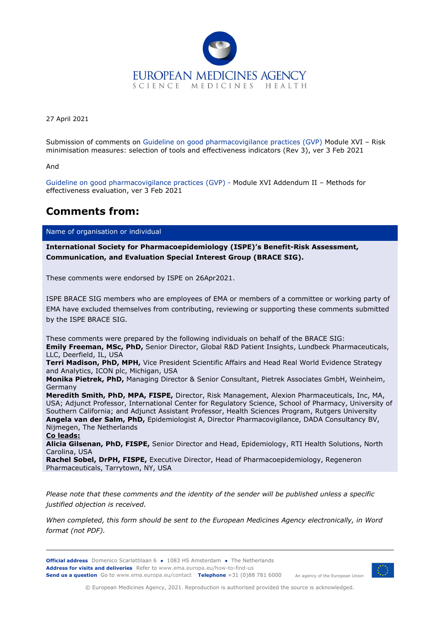

27 April 2021

Submission of comments on Guideline on good pharmacovigilance practices (GVP) Module XVI – Risk minimisation measures: selection of tools and effectiveness indicators (Rev 3), ver 3 Feb 2021

And

Guideline on good pharmacovigilance practices (GVP) - Module XVI Addendum II – Methods for effectiveness evaluation, ver 3 Feb 2021

## **Comments from:**

Name of organisation or individual

**International Society for Pharmacoepidemiology (ISPE)'s Benefit-Risk Assessment, Communication, and Evaluation Special Interest Group (BRACE SIG).** 

These comments were endorsed by ISPE on 26Apr2021.

ISPE BRACE SIG members who are employees of EMA or members of a committee or working party of EMA have excluded themselves from contributing, reviewing or supporting these comments submitted by the ISPE BRACE SIG.

These comments were prepared by the following individuals on behalf of the BRACE SIG: **Emily Freeman, MSc, PhD,** Senior Director, Global R&D Patient Insights, Lundbeck Pharmaceuticals, LLC, Deerfield, IL, USA

**Terri Madison, PhD, MPH,** Vice President Scientific Affairs and Head Real World Evidence Strategy and Analytics, ICON plc, Michigan, USA

**Monika Pietrek, PhD,** Managing Director & Senior Consultant, Pietrek Associates GmbH, Weinheim, Germany

**Meredith Smith, PhD, MPA, FISPE,** Director, Risk Management, Alexion Pharmaceuticals, Inc, MA, USA; Adjunct Professor, International Center for Regulatory Science, School of Pharmacy, University of Southern California; and Adjunct Assistant Professor, Health Sciences Program, Rutgers University **Angela van der Salm, PhD,** Epidemiologist A, Director Pharmacovigilance, DADA Consultancy BV, Nijmegen, The Netherlands

**Co leads:**

**Alicia Gilsenan, PhD, FISPE,** Senior Director and Head, Epidemiology, RTI Health Solutions, North Carolina, USA

**Rachel Sobel, DrPH, FISPE,** Executive Director, Head of Pharmacoepidemiology, Regeneron Pharmaceuticals, Tarrytown, NY, USA

*Please note that these comments and the identity of the sender will be published unless a specific justified objection is received.*

*When completed, this form should be sent to the European Medicines Agency electronically, in Word format (not PDF).*

**Official address** Domenico Scarlattilaan 6 **●** 1083 HS Amsterdam **●** The Netherlands An agency of the European Union **Address for visits and deliveries** Refer to www.ema.europa.eu/how-to-find-us **Send us a question** Go to www.ema.europa.eu/contact **Telephone** +31 (0)88 781 6000



© European Medicines Agency, 2021. Reproduction is authorised provided the source is acknowledged.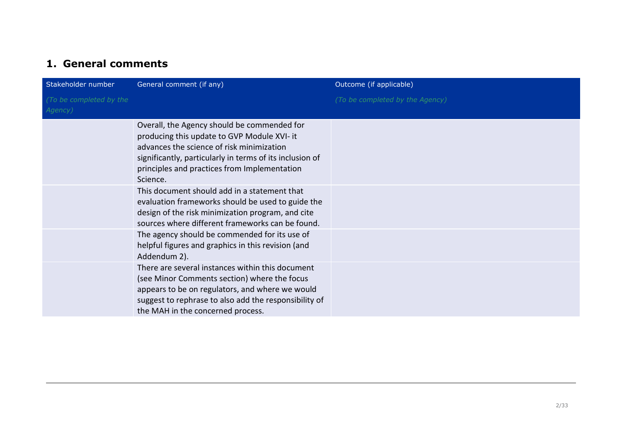## **1. General comments**

| Stakeholder number                 | General comment (if any)                                                                                                                                                                                                                                        | Outcome (if applicable)         |
|------------------------------------|-----------------------------------------------------------------------------------------------------------------------------------------------------------------------------------------------------------------------------------------------------------------|---------------------------------|
| (To be completed by the<br>Agency) |                                                                                                                                                                                                                                                                 | (To be completed by the Agency) |
|                                    | Overall, the Agency should be commended for<br>producing this update to GVP Module XVI- it<br>advances the science of risk minimization<br>significantly, particularly in terms of its inclusion of<br>principles and practices from Implementation<br>Science. |                                 |
|                                    | This document should add in a statement that<br>evaluation frameworks should be used to guide the<br>design of the risk minimization program, and cite<br>sources where different frameworks can be found.                                                      |                                 |
|                                    | The agency should be commended for its use of<br>helpful figures and graphics in this revision (and<br>Addendum 2).                                                                                                                                             |                                 |
|                                    | There are several instances within this document<br>(see Minor Comments section) where the focus<br>appears to be on regulators, and where we would<br>suggest to rephrase to also add the responsibility of<br>the MAH in the concerned process.               |                                 |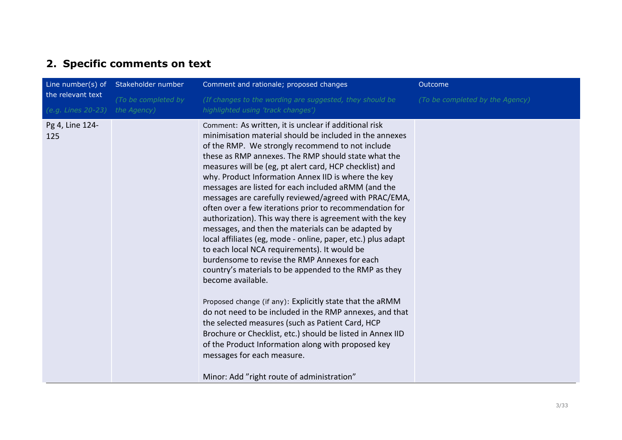## **2. Specific comments on text**

| the relevant text<br>(e.g. Lines 20-23) | Line number(s) of Stakeholder number | Comment and rationale; proposed changes                                                                                                                                                                                                                                                                                                                                                                                                                                                                                                                                                                                                                                                                                                                                                                                                                                                                                                                                                                                                                                                                                                                                                                                                                              | Outcome                         |
|-----------------------------------------|--------------------------------------|----------------------------------------------------------------------------------------------------------------------------------------------------------------------------------------------------------------------------------------------------------------------------------------------------------------------------------------------------------------------------------------------------------------------------------------------------------------------------------------------------------------------------------------------------------------------------------------------------------------------------------------------------------------------------------------------------------------------------------------------------------------------------------------------------------------------------------------------------------------------------------------------------------------------------------------------------------------------------------------------------------------------------------------------------------------------------------------------------------------------------------------------------------------------------------------------------------------------------------------------------------------------|---------------------------------|
|                                         | (To be completed by<br>the Agency)   | (If changes to the wording are suggested, they should be<br>highlighted using 'track changes')                                                                                                                                                                                                                                                                                                                                                                                                                                                                                                                                                                                                                                                                                                                                                                                                                                                                                                                                                                                                                                                                                                                                                                       | (To be completed by the Agency) |
| Pg 4, Line 124-<br>125                  |                                      | Comment: As written, it is unclear if additional risk<br>minimisation material should be included in the annexes<br>of the RMP. We strongly recommend to not include<br>these as RMP annexes. The RMP should state what the<br>measures will be (eg, pt alert card, HCP checklist) and<br>why. Product Information Annex IID is where the key<br>messages are listed for each included aRMM (and the<br>messages are carefully reviewed/agreed with PRAC/EMA,<br>often over a few iterations prior to recommendation for<br>authorization). This way there is agreement with the key<br>messages, and then the materials can be adapted by<br>local affiliates (eg, mode - online, paper, etc.) plus adapt<br>to each local NCA requirements). It would be<br>burdensome to revise the RMP Annexes for each<br>country's materials to be appended to the RMP as they<br>become available.<br>Proposed change (if any): Explicitly state that the aRMM<br>do not need to be included in the RMP annexes, and that<br>the selected measures (such as Patient Card, HCP<br>Brochure or Checklist, etc.) should be listed in Annex IID<br>of the Product Information along with proposed key<br>messages for each measure.<br>Minor: Add "right route of administration" |                                 |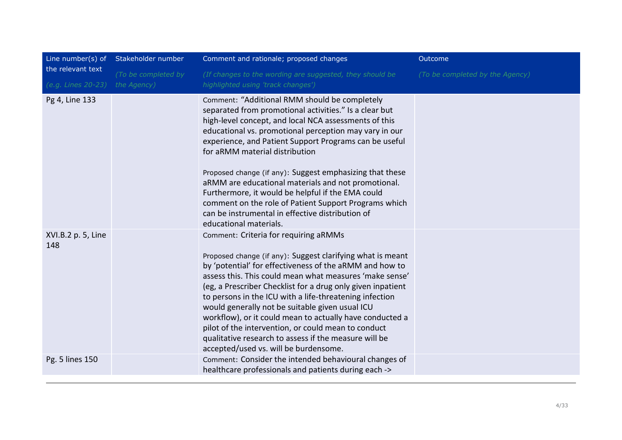| Line number(s) of         | Stakeholder number  | Comment and rationale; proposed changes                                                                                                                                                                                                                                                                                                                                                                                                                                                                                                                                                                                               | Outcome                         |
|---------------------------|---------------------|---------------------------------------------------------------------------------------------------------------------------------------------------------------------------------------------------------------------------------------------------------------------------------------------------------------------------------------------------------------------------------------------------------------------------------------------------------------------------------------------------------------------------------------------------------------------------------------------------------------------------------------|---------------------------------|
| the relevant text         | (To be completed by | (If changes to the wording are suggested, they should be                                                                                                                                                                                                                                                                                                                                                                                                                                                                                                                                                                              | (To be completed by the Agency) |
| (e.g. Lines 20-23)        | the Agency)         | highlighted using 'track changes')                                                                                                                                                                                                                                                                                                                                                                                                                                                                                                                                                                                                    |                                 |
| Pg 4, Line 133            |                     | Comment: "Additional RMM should be completely<br>separated from promotional activities." Is a clear but<br>high-level concept, and local NCA assessments of this<br>educational vs. promotional perception may vary in our<br>experience, and Patient Support Programs can be useful<br>for aRMM material distribution<br>Proposed change (if any): Suggest emphasizing that these<br>aRMM are educational materials and not promotional.<br>Furthermore, it would be helpful if the EMA could<br>comment on the role of Patient Support Programs which<br>can be instrumental in effective distribution of<br>educational materials. |                                 |
| XVI.B.2 p. 5, Line<br>148 |                     | Comment: Criteria for requiring aRMMs<br>Proposed change (if any): Suggest clarifying what is meant<br>by 'potential' for effectiveness of the aRMM and how to<br>assess this. This could mean what measures 'make sense'<br>(eg, a Prescriber Checklist for a drug only given inpatient<br>to persons in the ICU with a life-threatening infection<br>would generally not be suitable given usual ICU<br>workflow), or it could mean to actually have conducted a<br>pilot of the intervention, or could mean to conduct<br>qualitative research to assess if the measure will be<br>accepted/used vs. will be burdensome.           |                                 |
| Pg. 5 lines 150           |                     | Comment: Consider the intended behavioural changes of<br>healthcare professionals and patients during each ->                                                                                                                                                                                                                                                                                                                                                                                                                                                                                                                         |                                 |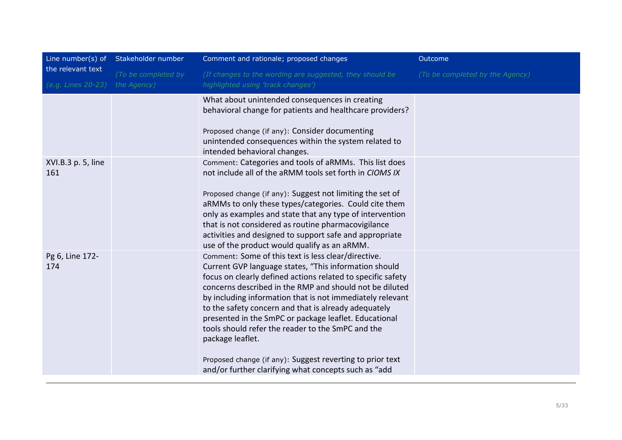|                                         | Line number(s) of Stakeholder number | Comment and rationale; proposed changes                                                                                                                                                                                                                                                                                                                                                                                                                                                                                                                                                                                                                                                                                       | Outcome                         |
|-----------------------------------------|--------------------------------------|-------------------------------------------------------------------------------------------------------------------------------------------------------------------------------------------------------------------------------------------------------------------------------------------------------------------------------------------------------------------------------------------------------------------------------------------------------------------------------------------------------------------------------------------------------------------------------------------------------------------------------------------------------------------------------------------------------------------------------|---------------------------------|
| the relevant text<br>(e.g. Lines 20-23) | (To be completed by<br>the Agency)   | (If changes to the wording are suggested, they should be<br>highlighted using 'track changes')                                                                                                                                                                                                                                                                                                                                                                                                                                                                                                                                                                                                                                | (To be completed by the Agency) |
| XVI.B.3 p. 5, line<br>161               |                                      | What about unintended consequences in creating<br>behavioral change for patients and healthcare providers?<br>Proposed change (if any): Consider documenting<br>unintended consequences within the system related to<br>intended behavioral changes.<br>Comment: Categories and tools of aRMMs. This list does<br>not include all of the aRMM tools set forth in CIOMS IX<br>Proposed change (if any): Suggest not limiting the set of<br>aRMMs to only these types/categories. Could cite them<br>only as examples and state that any type of intervention<br>that is not considered as routine pharmacovigilance<br>activities and designed to support safe and appropriate<br>use of the product would qualify as an aRMM. |                                 |
| Pg 6, Line 172-<br>174                  |                                      | Comment: Some of this text is less clear/directive.<br>Current GVP language states, "This information should<br>focus on clearly defined actions related to specific safety<br>concerns described in the RMP and should not be diluted<br>by including information that is not immediately relevant<br>to the safety concern and that is already adequately<br>presented in the SmPC or package leaflet. Educational<br>tools should refer the reader to the SmPC and the<br>package leaflet.<br>Proposed change (if any): Suggest reverting to prior text<br>and/or further clarifying what concepts such as "add                                                                                                            |                                 |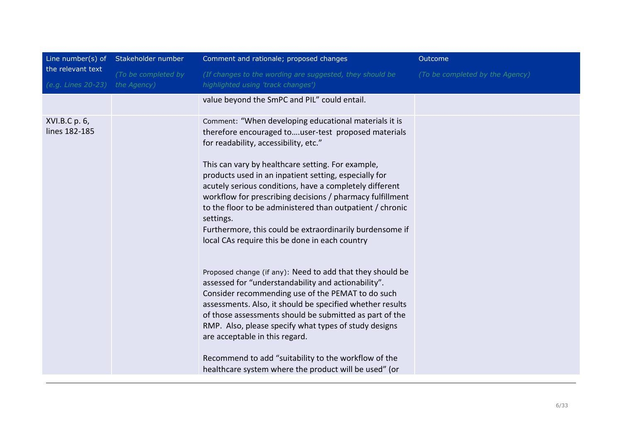|                                         | Line number(s) of Stakeholder number | Comment and rationale; proposed changes                                                                                                                                                                                                                                                                                                                                                                                                                                                                                                                                                                                                                                                                                                                                                                                                                                                                                                                                                                                                                                                          | Outcome                         |
|-----------------------------------------|--------------------------------------|--------------------------------------------------------------------------------------------------------------------------------------------------------------------------------------------------------------------------------------------------------------------------------------------------------------------------------------------------------------------------------------------------------------------------------------------------------------------------------------------------------------------------------------------------------------------------------------------------------------------------------------------------------------------------------------------------------------------------------------------------------------------------------------------------------------------------------------------------------------------------------------------------------------------------------------------------------------------------------------------------------------------------------------------------------------------------------------------------|---------------------------------|
| the relevant text<br>(e.g. Lines 20-23) | (To be completed by<br>the Agency)   | (If changes to the wording are suggested, they should be<br>highlighted using 'track changes')                                                                                                                                                                                                                                                                                                                                                                                                                                                                                                                                                                                                                                                                                                                                                                                                                                                                                                                                                                                                   | (To be completed by the Agency) |
|                                         |                                      | value beyond the SmPC and PIL" could entail.                                                                                                                                                                                                                                                                                                                                                                                                                                                                                                                                                                                                                                                                                                                                                                                                                                                                                                                                                                                                                                                     |                                 |
| XVI.B.C p. 6,<br>lines 182-185          |                                      | Comment: "When developing educational materials it is<br>therefore encouraged touser-test proposed materials<br>for readability, accessibility, etc."<br>This can vary by healthcare setting. For example,<br>products used in an inpatient setting, especially for<br>acutely serious conditions, have a completely different<br>workflow for prescribing decisions / pharmacy fulfillment<br>to the floor to be administered than outpatient / chronic<br>settings.<br>Furthermore, this could be extraordinarily burdensome if<br>local CAs require this be done in each country<br>Proposed change (if any): Need to add that they should be<br>assessed for "understandability and actionability".<br>Consider recommending use of the PEMAT to do such<br>assessments. Also, it should be specified whether results<br>of those assessments should be submitted as part of the<br>RMP. Also, please specify what types of study designs<br>are acceptable in this regard.<br>Recommend to add "suitability to the workflow of the<br>healthcare system where the product will be used" (or |                                 |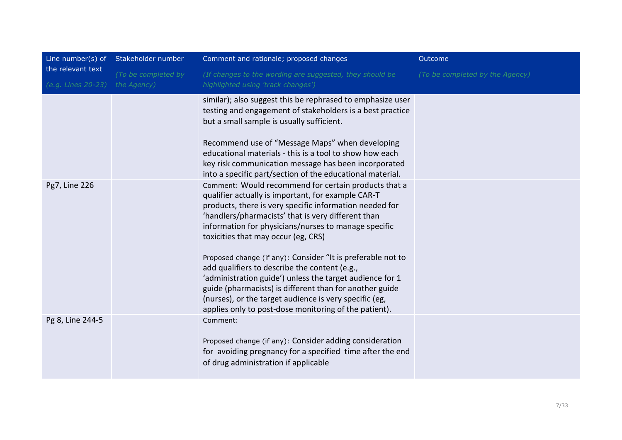|                                         | Line number(s) of Stakeholder number | Comment and rationale; proposed changes                                                                                                                                                                                                                                                                                                                                                                                                                                                                                                                                                                                                                                              | Outcome                         |
|-----------------------------------------|--------------------------------------|--------------------------------------------------------------------------------------------------------------------------------------------------------------------------------------------------------------------------------------------------------------------------------------------------------------------------------------------------------------------------------------------------------------------------------------------------------------------------------------------------------------------------------------------------------------------------------------------------------------------------------------------------------------------------------------|---------------------------------|
| the relevant text<br>(e.g. Lines 20-23) | (To be completed by<br>the Agency)   | (If changes to the wording are suggested, they should be<br>highlighted using 'track changes')                                                                                                                                                                                                                                                                                                                                                                                                                                                                                                                                                                                       | (To be completed by the Agency) |
|                                         |                                      | similar); also suggest this be rephrased to emphasize user<br>testing and engagement of stakeholders is a best practice<br>but a small sample is usually sufficient.<br>Recommend use of "Message Maps" when developing<br>educational materials - this is a tool to show how each<br>key risk communication message has been incorporated<br>into a specific part/section of the educational material.                                                                                                                                                                                                                                                                              |                                 |
| Pg7, Line 226                           |                                      | Comment: Would recommend for certain products that a<br>qualifier actually is important, for example CAR-T<br>products, there is very specific information needed for<br>'handlers/pharmacists' that is very different than<br>information for physicians/nurses to manage specific<br>toxicities that may occur (eg, CRS)<br>Proposed change (if any): Consider "It is preferable not to<br>add qualifiers to describe the content (e.g.,<br>'administration guide') unless the target audience for 1<br>guide (pharmacists) is different than for another guide<br>(nurses), or the target audience is very specific (eg,<br>applies only to post-dose monitoring of the patient). |                                 |
| Pg 8, Line 244-5                        |                                      | Comment:<br>Proposed change (if any): Consider adding consideration<br>for avoiding pregnancy for a specified time after the end<br>of drug administration if applicable                                                                                                                                                                                                                                                                                                                                                                                                                                                                                                             |                                 |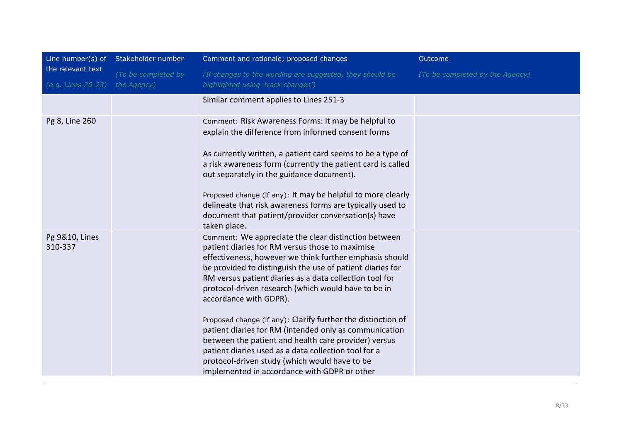|                                         | Line number(s) of Stakeholder number | Comment and rationale; proposed changes                                                                                                                                                                                                                                                                                                                                                                                                                                                                                                                                                                                                                                                                                | Outcome                         |
|-----------------------------------------|--------------------------------------|------------------------------------------------------------------------------------------------------------------------------------------------------------------------------------------------------------------------------------------------------------------------------------------------------------------------------------------------------------------------------------------------------------------------------------------------------------------------------------------------------------------------------------------------------------------------------------------------------------------------------------------------------------------------------------------------------------------------|---------------------------------|
| the relevant text<br>(e.g. Lines 20-23) | (To be completed by<br>the Agency)   | (If changes to the wording are suggested, they should be<br>highlighted using 'track changes')                                                                                                                                                                                                                                                                                                                                                                                                                                                                                                                                                                                                                         | (To be completed by the Agency) |
|                                         |                                      | Similar comment applies to Lines 251-3                                                                                                                                                                                                                                                                                                                                                                                                                                                                                                                                                                                                                                                                                 |                                 |
| Pg 8, Line 260                          |                                      | Comment: Risk Awareness Forms: It may be helpful to<br>explain the difference from informed consent forms<br>As currently written, a patient card seems to be a type of<br>a risk awareness form (currently the patient card is called<br>out separately in the guidance document).<br>Proposed change (if any): It may be helpful to more clearly<br>delineate that risk awareness forms are typically used to<br>document that patient/provider conversation(s) have<br>taken place.                                                                                                                                                                                                                                 |                                 |
| Pg 9&10, Lines<br>310-337               |                                      | Comment: We appreciate the clear distinction between<br>patient diaries for RM versus those to maximise<br>effectiveness, however we think further emphasis should<br>be provided to distinguish the use of patient diaries for<br>RM versus patient diaries as a data collection tool for<br>protocol-driven research (which would have to be in<br>accordance with GDPR).<br>Proposed change (if any): Clarify further the distinction of<br>patient diaries for RM (intended only as communication<br>between the patient and health care provider) versus<br>patient diaries used as a data collection tool for a<br>protocol-driven study (which would have to be<br>implemented in accordance with GDPR or other |                                 |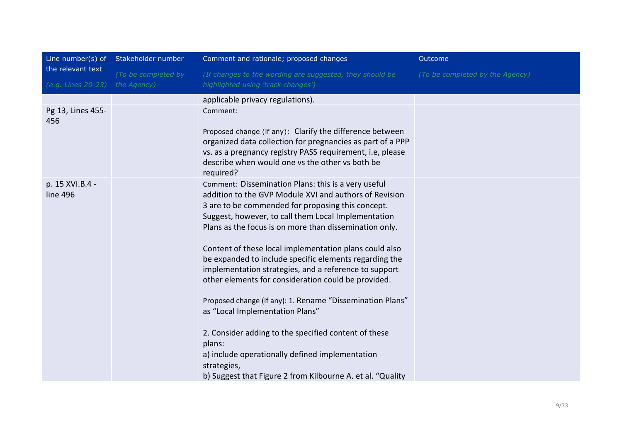|                                    | Comment and rationale; proposed changes                                                                                                                                                                                                                                                                                                                                                                                                                                                                                                                                                                                                                                                                                                                     | Outcome                                                    |
|------------------------------------|-------------------------------------------------------------------------------------------------------------------------------------------------------------------------------------------------------------------------------------------------------------------------------------------------------------------------------------------------------------------------------------------------------------------------------------------------------------------------------------------------------------------------------------------------------------------------------------------------------------------------------------------------------------------------------------------------------------------------------------------------------------|------------------------------------------------------------|
| (To be completed by<br>the Agency) | (If changes to the wording are suggested, they should be<br>highlighted using 'track changes')                                                                                                                                                                                                                                                                                                                                                                                                                                                                                                                                                                                                                                                              | (To be completed by the Agency)                            |
|                                    | applicable privacy regulations).                                                                                                                                                                                                                                                                                                                                                                                                                                                                                                                                                                                                                                                                                                                            |                                                            |
|                                    | Comment:                                                                                                                                                                                                                                                                                                                                                                                                                                                                                                                                                                                                                                                                                                                                                    |                                                            |
|                                    | Proposed change (if any): Clarify the difference between<br>organized data collection for pregnancies as part of a PPP<br>vs. as a pregnancy registry PASS requirement, i.e, please<br>describe when would one vs the other vs both be<br>required?                                                                                                                                                                                                                                                                                                                                                                                                                                                                                                         |                                                            |
|                                    | Comment: Dissemination Plans: this is a very useful<br>addition to the GVP Module XVI and authors of Revision<br>3 are to be commended for proposing this concept.<br>Suggest, however, to call them Local Implementation<br>Plans as the focus is on more than dissemination only.<br>Content of these local implementation plans could also<br>be expanded to include specific elements regarding the<br>implementation strategies, and a reference to support<br>other elements for consideration could be provided.<br>Proposed change (if any): 1. Rename "Dissemination Plans"<br>as "Local Implementation Plans"<br>2. Consider adding to the specified content of these<br>plans:<br>a) include operationally defined implementation<br>strategies, |                                                            |
|                                    |                                                                                                                                                                                                                                                                                                                                                                                                                                                                                                                                                                                                                                                                                                                                                             | b) Suggest that Figure 2 from Kilbourne A. et al. "Quality |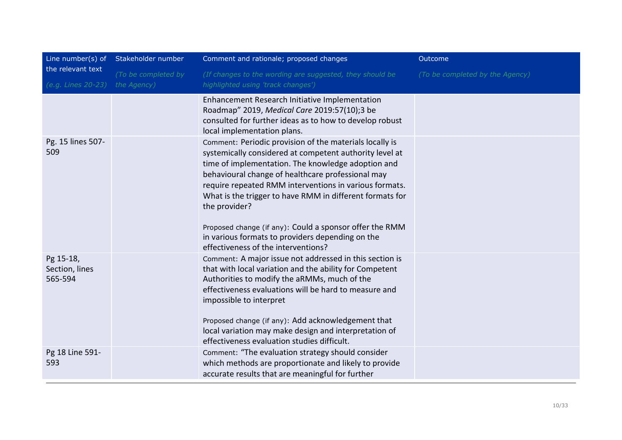|                                         | Line number(s) of Stakeholder number | Comment and rationale; proposed changes                                                                                                                                                                                                                                                                                                                                                                                                                                                                                    | Outcome                         |
|-----------------------------------------|--------------------------------------|----------------------------------------------------------------------------------------------------------------------------------------------------------------------------------------------------------------------------------------------------------------------------------------------------------------------------------------------------------------------------------------------------------------------------------------------------------------------------------------------------------------------------|---------------------------------|
| the relevant text<br>(e.g. Lines 20-23) | (To be completed by<br>the Agency)   | (If changes to the wording are suggested, they should be<br>highlighted using 'track changes')                                                                                                                                                                                                                                                                                                                                                                                                                             | (To be completed by the Agency) |
|                                         |                                      | Enhancement Research Initiative Implementation<br>Roadmap" 2019, Medical Care 2019:57(10);3 be<br>consulted for further ideas as to how to develop robust<br>local implementation plans.                                                                                                                                                                                                                                                                                                                                   |                                 |
| Pg. 15 lines 507-<br>509                |                                      | Comment: Periodic provision of the materials locally is<br>systemically considered at competent authority level at<br>time of implementation. The knowledge adoption and<br>behavioural change of healthcare professional may<br>require repeated RMM interventions in various formats.<br>What is the trigger to have RMM in different formats for<br>the provider?<br>Proposed change (if any): Could a sponsor offer the RMM<br>in various formats to providers depending on the<br>effectiveness of the interventions? |                                 |
| Pg 15-18,<br>Section, lines<br>565-594  |                                      | Comment: A major issue not addressed in this section is<br>that with local variation and the ability for Competent<br>Authorities to modify the aRMMs, much of the<br>effectiveness evaluations will be hard to measure and<br>impossible to interpret<br>Proposed change (if any): Add acknowledgement that<br>local variation may make design and interpretation of<br>effectiveness evaluation studies difficult.                                                                                                       |                                 |
| Pg 18 Line 591-<br>593                  |                                      | Comment: "The evaluation strategy should consider<br>which methods are proportionate and likely to provide<br>accurate results that are meaningful for further                                                                                                                                                                                                                                                                                                                                                             |                                 |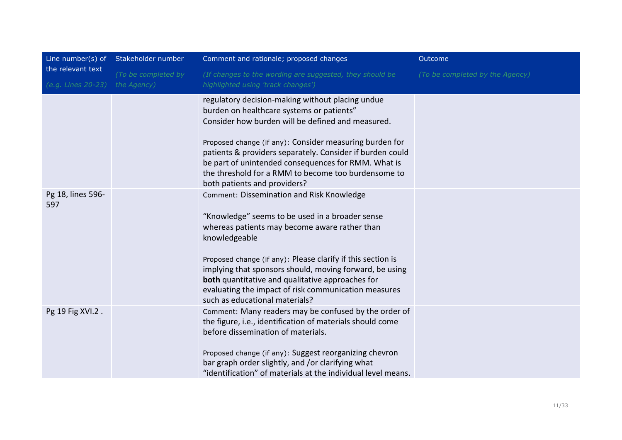|                                         | Line number(s) of Stakeholder number | Comment and rationale; proposed changes                                                                                                                                                                                                                                                                                                                                                                                                       | Outcome                         |
|-----------------------------------------|--------------------------------------|-----------------------------------------------------------------------------------------------------------------------------------------------------------------------------------------------------------------------------------------------------------------------------------------------------------------------------------------------------------------------------------------------------------------------------------------------|---------------------------------|
| the relevant text<br>(e.g. Lines 20-23) | (To be completed by<br>the Agency)   | (If changes to the wording are suggested, they should be<br>highlighted using 'track changes')                                                                                                                                                                                                                                                                                                                                                | (To be completed by the Agency) |
|                                         |                                      | regulatory decision-making without placing undue<br>burden on healthcare systems or patients"<br>Consider how burden will be defined and measured.<br>Proposed change (if any): Consider measuring burden for<br>patients & providers separately. Consider if burden could<br>be part of unintended consequences for RMM. What is<br>the threshold for a RMM to become too burdensome to<br>both patients and providers?                      |                                 |
| Pg 18, lines 596-<br>597                |                                      | Comment: Dissemination and Risk Knowledge<br>"Knowledge" seems to be used in a broader sense<br>whereas patients may become aware rather than<br>knowledgeable<br>Proposed change (if any): Please clarify if this section is<br>implying that sponsors should, moving forward, be using<br><b>both</b> quantitative and qualitative approaches for<br>evaluating the impact of risk communication measures<br>such as educational materials? |                                 |
| Pg 19 Fig XVI.2.                        |                                      | Comment: Many readers may be confused by the order of<br>the figure, i.e., identification of materials should come<br>before dissemination of materials.<br>Proposed change (if any): Suggest reorganizing chevron<br>bar graph order slightly, and /or clarifying what<br>"identification" of materials at the individual level means.                                                                                                       |                                 |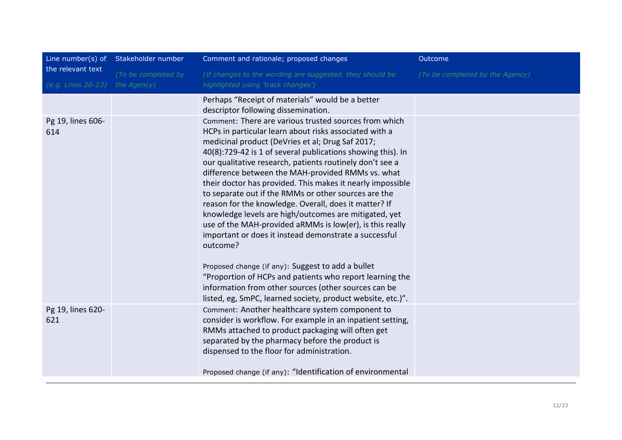|                                         | Line number(s) of Stakeholder number | Comment and rationale; proposed changes                                                                                                                                                                                                                                                                                                                                                                                                                                                                                                                                                                                                                                                                                      | Outcome                         |
|-----------------------------------------|--------------------------------------|------------------------------------------------------------------------------------------------------------------------------------------------------------------------------------------------------------------------------------------------------------------------------------------------------------------------------------------------------------------------------------------------------------------------------------------------------------------------------------------------------------------------------------------------------------------------------------------------------------------------------------------------------------------------------------------------------------------------------|---------------------------------|
| the relevant text<br>(e.g. Lines 20-23) | (To be completed by<br>the Agency)   | (If changes to the wording are suggested, they should be<br>highlighted using 'track changes')                                                                                                                                                                                                                                                                                                                                                                                                                                                                                                                                                                                                                               | (To be completed by the Agency) |
|                                         |                                      | Perhaps "Receipt of materials" would be a better<br>descriptor following dissemination.                                                                                                                                                                                                                                                                                                                                                                                                                                                                                                                                                                                                                                      |                                 |
| Pg 19, lines 606-<br>614                |                                      | Comment: There are various trusted sources from which<br>HCPs in particular learn about risks associated with a<br>medicinal product (DeVries et al; Drug Saf 2017;<br>40(8):729-42 is 1 of several publications showing this). In<br>our qualitative research, patients routinely don't see a<br>difference between the MAH-provided RMMs vs. what<br>their doctor has provided. This makes it nearly impossible<br>to separate out if the RMMs or other sources are the<br>reason for the knowledge. Overall, does it matter? If<br>knowledge levels are high/outcomes are mitigated, yet<br>use of the MAH-provided aRMMs is low(er), is this really<br>important or does it instead demonstrate a successful<br>outcome? |                                 |
|                                         |                                      | Proposed change (if any): Suggest to add a bullet<br>"Proportion of HCPs and patients who report learning the<br>information from other sources (other sources can be<br>listed, eg, SmPC, learned society, product website, etc.)".                                                                                                                                                                                                                                                                                                                                                                                                                                                                                         |                                 |
| Pg 19, lines 620-<br>621                |                                      | Comment: Another healthcare system component to<br>consider is workflow. For example in an inpatient setting,<br>RMMs attached to product packaging will often get<br>separated by the pharmacy before the product is<br>dispensed to the floor for administration.                                                                                                                                                                                                                                                                                                                                                                                                                                                          |                                 |
|                                         |                                      | Proposed change (if any): "Identification of environmental                                                                                                                                                                                                                                                                                                                                                                                                                                                                                                                                                                                                                                                                   |                                 |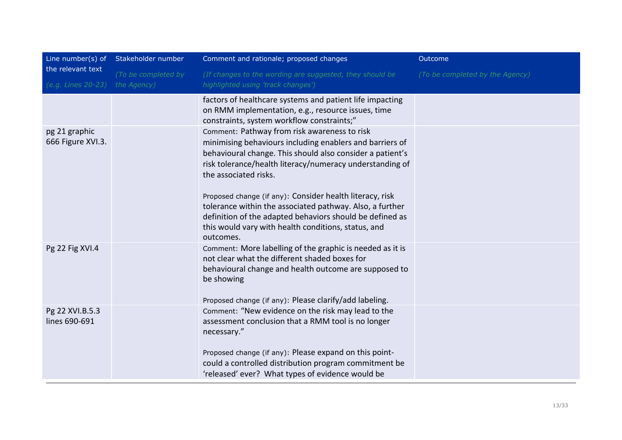|                                         | Line number(s) of Stakeholder number | Comment and rationale; proposed changes                                                                                                                                                                                                                                                                                                                                                                                                                                                                            | Outcome                         |
|-----------------------------------------|--------------------------------------|--------------------------------------------------------------------------------------------------------------------------------------------------------------------------------------------------------------------------------------------------------------------------------------------------------------------------------------------------------------------------------------------------------------------------------------------------------------------------------------------------------------------|---------------------------------|
| the relevant text<br>(e.g. Lines 20-23) | (To be completed by<br>the Agency)   | (If changes to the wording are suggested, they should be<br>highlighted using 'track changes')                                                                                                                                                                                                                                                                                                                                                                                                                     | (To be completed by the Agency) |
|                                         |                                      | factors of healthcare systems and patient life impacting<br>on RMM implementation, e.g., resource issues, time<br>constraints, system workflow constraints;"                                                                                                                                                                                                                                                                                                                                                       |                                 |
| pg 21 graphic<br>666 Figure XVI.3.      |                                      | Comment: Pathway from risk awareness to risk<br>minimising behaviours including enablers and barriers of<br>behavioural change. This should also consider a patient's<br>risk tolerance/health literacy/numeracy understanding of<br>the associated risks.<br>Proposed change (if any): Consider health literacy, risk<br>tolerance within the associated pathway. Also, a further<br>definition of the adapted behaviors should be defined as<br>this would vary with health conditions, status, and<br>outcomes. |                                 |
| Pg 22 Fig XVI.4                         |                                      | Comment: More labelling of the graphic is needed as it is<br>not clear what the different shaded boxes for<br>behavioural change and health outcome are supposed to<br>be showing<br>Proposed change (if any): Please clarify/add labeling.                                                                                                                                                                                                                                                                        |                                 |
| Pg 22 XVI.B.5.3<br>lines 690-691        |                                      | Comment: "New evidence on the risk may lead to the<br>assessment conclusion that a RMM tool is no longer<br>necessary."<br>Proposed change (if any): Please expand on this point-<br>could a controlled distribution program commitment be<br>'released' ever? What types of evidence would be                                                                                                                                                                                                                     |                                 |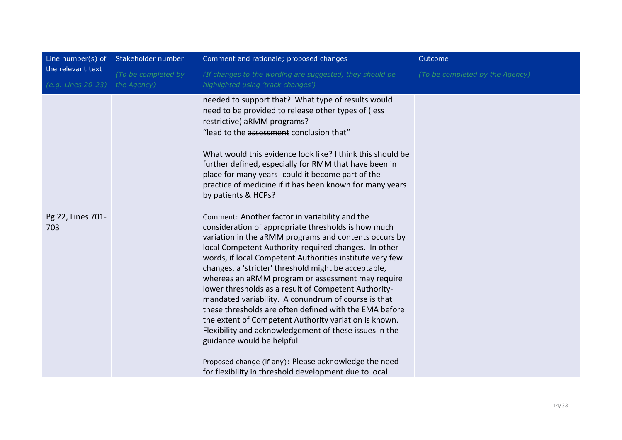|                                         | Line number(s) of Stakeholder number | Comment and rationale; proposed changes                                                                                                                                                                                                                                                                                                                                                                                                                                                                                                                                                                                                                                                                                                                                                                                                     | Outcome                         |
|-----------------------------------------|--------------------------------------|---------------------------------------------------------------------------------------------------------------------------------------------------------------------------------------------------------------------------------------------------------------------------------------------------------------------------------------------------------------------------------------------------------------------------------------------------------------------------------------------------------------------------------------------------------------------------------------------------------------------------------------------------------------------------------------------------------------------------------------------------------------------------------------------------------------------------------------------|---------------------------------|
| the relevant text<br>(e.g. Lines 20-23) | (To be completed by<br>the Agency)   | (If changes to the wording are suggested, they should be<br>highlighted using 'track changes')                                                                                                                                                                                                                                                                                                                                                                                                                                                                                                                                                                                                                                                                                                                                              | (To be completed by the Agency) |
|                                         |                                      | needed to support that? What type of results would<br>need to be provided to release other types of (less<br>restrictive) aRMM programs?<br>"lead to the assessment conclusion that"<br>What would this evidence look like? I think this should be<br>further defined, especially for RMM that have been in<br>place for many years- could it become part of the<br>practice of medicine if it has been known for many years<br>by patients & HCPs?                                                                                                                                                                                                                                                                                                                                                                                         |                                 |
| Pg 22, Lines 701-<br>703                |                                      | Comment: Another factor in variability and the<br>consideration of appropriate thresholds is how much<br>variation in the aRMM programs and contents occurs by<br>local Competent Authority-required changes. In other<br>words, if local Competent Authorities institute very few<br>changes, a 'stricter' threshold might be acceptable,<br>whereas an aRMM program or assessment may require<br>lower thresholds as a result of Competent Authority-<br>mandated variability. A conundrum of course is that<br>these thresholds are often defined with the EMA before<br>the extent of Competent Authority variation is known.<br>Flexibility and acknowledgement of these issues in the<br>guidance would be helpful.<br>Proposed change (if any): Please acknowledge the need<br>for flexibility in threshold development due to local |                                 |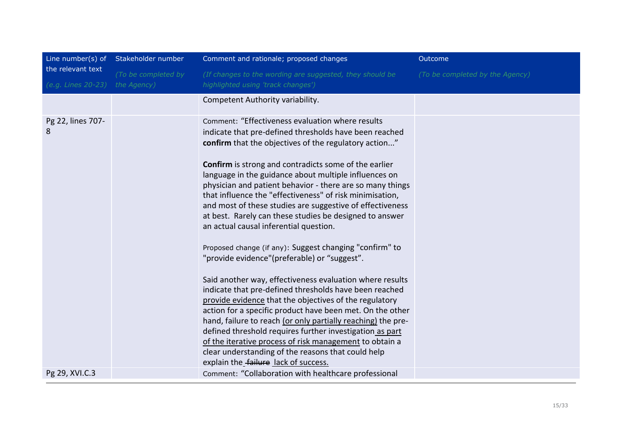| Line number(s) of Stakeholder number<br>Comment and rationale; proposed changes<br>Outcome                                                                                                                                                                                                                                                                                                                                                                                                                                                                                                                                                                                                                                                                                                                                                                                                                                                                                                                                                                                                                                                                                                                                                                     |  |
|----------------------------------------------------------------------------------------------------------------------------------------------------------------------------------------------------------------------------------------------------------------------------------------------------------------------------------------------------------------------------------------------------------------------------------------------------------------------------------------------------------------------------------------------------------------------------------------------------------------------------------------------------------------------------------------------------------------------------------------------------------------------------------------------------------------------------------------------------------------------------------------------------------------------------------------------------------------------------------------------------------------------------------------------------------------------------------------------------------------------------------------------------------------------------------------------------------------------------------------------------------------|--|
| the relevant text<br>(To be completed by<br>(If changes to the wording are suggested, they should be<br>(To be completed by the Agency)<br>the Agency)<br>highlighted using 'track changes')<br>(e.g. Lines 20-23)                                                                                                                                                                                                                                                                                                                                                                                                                                                                                                                                                                                                                                                                                                                                                                                                                                                                                                                                                                                                                                             |  |
| Competent Authority variability.                                                                                                                                                                                                                                                                                                                                                                                                                                                                                                                                                                                                                                                                                                                                                                                                                                                                                                                                                                                                                                                                                                                                                                                                                               |  |
| Pg 22, lines 707-<br>Comment: "Effectiveness evaluation where results<br>8<br>indicate that pre-defined thresholds have been reached<br>confirm that the objectives of the regulatory action"<br><b>Confirm</b> is strong and contradicts some of the earlier<br>language in the guidance about multiple influences on<br>physician and patient behavior - there are so many things<br>that influence the "effectiveness" of risk minimisation,<br>and most of these studies are suggestive of effectiveness<br>at best. Rarely can these studies be designed to answer<br>an actual causal inferential question.<br>Proposed change (if any): Suggest changing "confirm" to<br>"provide evidence"(preferable) or "suggest".<br>Said another way, effectiveness evaluation where results<br>indicate that pre-defined thresholds have been reached<br>provide evidence that the objectives of the regulatory<br>action for a specific product have been met. On the other<br>hand, failure to reach (or only partially reaching) the pre-<br>defined threshold requires further investigation as part<br>of the iterative process of risk management to obtain a<br>clear understanding of the reasons that could help<br>explain the failure lack of success. |  |
| Comment: "Collaboration with healthcare professional<br>Pg 29, XVI.C.3                                                                                                                                                                                                                                                                                                                                                                                                                                                                                                                                                                                                                                                                                                                                                                                                                                                                                                                                                                                                                                                                                                                                                                                         |  |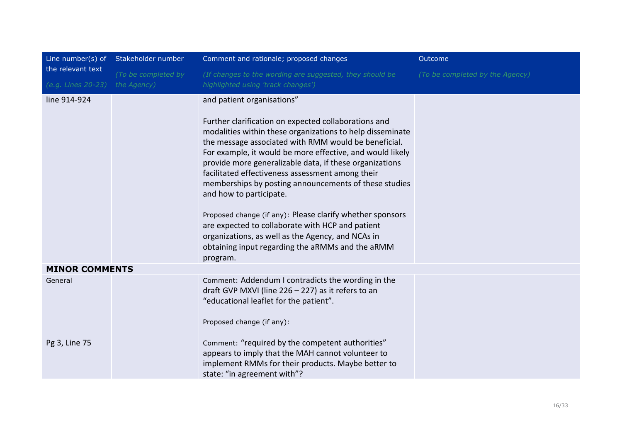|                                         | Line number(s) of Stakeholder number | Comment and rationale; proposed changes                                                                                                                                                                                                                                                                                                                                                                                                                                                                                                                                                                                                                                                                       | Outcome                         |
|-----------------------------------------|--------------------------------------|---------------------------------------------------------------------------------------------------------------------------------------------------------------------------------------------------------------------------------------------------------------------------------------------------------------------------------------------------------------------------------------------------------------------------------------------------------------------------------------------------------------------------------------------------------------------------------------------------------------------------------------------------------------------------------------------------------------|---------------------------------|
| the relevant text<br>(e.g. Lines 20-23) | (To be completed by<br>the Agency)   | (If changes to the wording are suggested, they should be<br>highlighted using 'track changes')                                                                                                                                                                                                                                                                                                                                                                                                                                                                                                                                                                                                                | (To be completed by the Agency) |
| line 914-924                            |                                      | and patient organisations"<br>Further clarification on expected collaborations and<br>modalities within these organizations to help disseminate<br>the message associated with RMM would be beneficial.<br>For example, it would be more effective, and would likely<br>provide more generalizable data, if these organizations<br>facilitated effectiveness assessment among their<br>memberships by posting announcements of these studies<br>and how to participate.<br>Proposed change (if any): Please clarify whether sponsors<br>are expected to collaborate with HCP and patient<br>organizations, as well as the Agency, and NCAs in<br>obtaining input regarding the aRMMs and the aRMM<br>program. |                                 |
| <b>MINOR COMMENTS</b>                   |                                      |                                                                                                                                                                                                                                                                                                                                                                                                                                                                                                                                                                                                                                                                                                               |                                 |
| General                                 |                                      | Comment: Addendum I contradicts the wording in the<br>draft GVP MXVI (line 226 - 227) as it refers to an<br>"educational leaflet for the patient".<br>Proposed change (if any):                                                                                                                                                                                                                                                                                                                                                                                                                                                                                                                               |                                 |
| Pg 3, Line 75                           |                                      | Comment: "required by the competent authorities"<br>appears to imply that the MAH cannot volunteer to<br>implement RMMs for their products. Maybe better to<br>state: "in agreement with"?                                                                                                                                                                                                                                                                                                                                                                                                                                                                                                                    |                                 |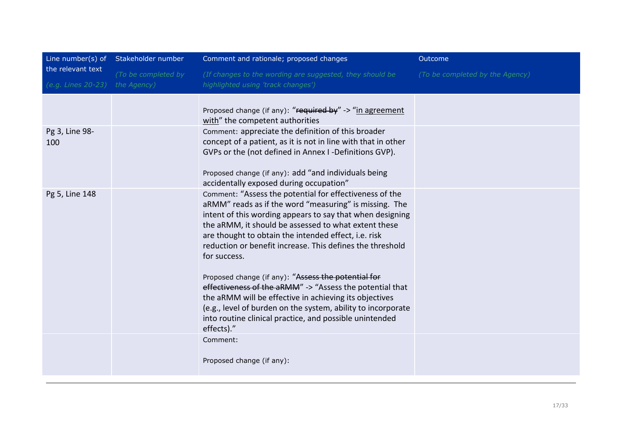|                    | Line number(s) of Stakeholder number | Comment and rationale; proposed changes                                                                                                                                                                                                                                                                                                                                                                                                                                                                                                                                                                                                                                                           | Outcome                         |
|--------------------|--------------------------------------|---------------------------------------------------------------------------------------------------------------------------------------------------------------------------------------------------------------------------------------------------------------------------------------------------------------------------------------------------------------------------------------------------------------------------------------------------------------------------------------------------------------------------------------------------------------------------------------------------------------------------------------------------------------------------------------------------|---------------------------------|
| the relevant text  | (To be completed by                  | (If changes to the wording are suggested, they should be                                                                                                                                                                                                                                                                                                                                                                                                                                                                                                                                                                                                                                          | (To be completed by the Agency) |
| (e.g. Lines 20-23) | the Agency)                          | highlighted using 'track changes')                                                                                                                                                                                                                                                                                                                                                                                                                                                                                                                                                                                                                                                                |                                 |
|                    |                                      |                                                                                                                                                                                                                                                                                                                                                                                                                                                                                                                                                                                                                                                                                                   |                                 |
|                    |                                      | Proposed change (if any): "required by" -> "in agreement<br>with" the competent authorities                                                                                                                                                                                                                                                                                                                                                                                                                                                                                                                                                                                                       |                                 |
| Pg 3, Line 98-     |                                      | Comment: appreciate the definition of this broader                                                                                                                                                                                                                                                                                                                                                                                                                                                                                                                                                                                                                                                |                                 |
| 100                |                                      | concept of a patient, as it is not in line with that in other<br>GVPs or the (not defined in Annex I -Definitions GVP).                                                                                                                                                                                                                                                                                                                                                                                                                                                                                                                                                                           |                                 |
|                    |                                      | Proposed change (if any): add "and individuals being<br>accidentally exposed during occupation"                                                                                                                                                                                                                                                                                                                                                                                                                                                                                                                                                                                                   |                                 |
| Pg 5, Line 148     |                                      | Comment: "Assess the potential for effectiveness of the<br>aRMM" reads as if the word "measuring" is missing. The<br>intent of this wording appears to say that when designing<br>the aRMM, it should be assessed to what extent these<br>are thought to obtain the intended effect, i.e. risk<br>reduction or benefit increase. This defines the threshold<br>for success.<br>Proposed change (if any): "Assess the potential for<br>effectiveness of the aRMM" -> "Assess the potential that<br>the aRMM will be effective in achieving its objectives<br>(e.g., level of burden on the system, ability to incorporate<br>into routine clinical practice, and possible unintended<br>effects)." |                                 |
|                    |                                      | Comment:<br>Proposed change (if any):                                                                                                                                                                                                                                                                                                                                                                                                                                                                                                                                                                                                                                                             |                                 |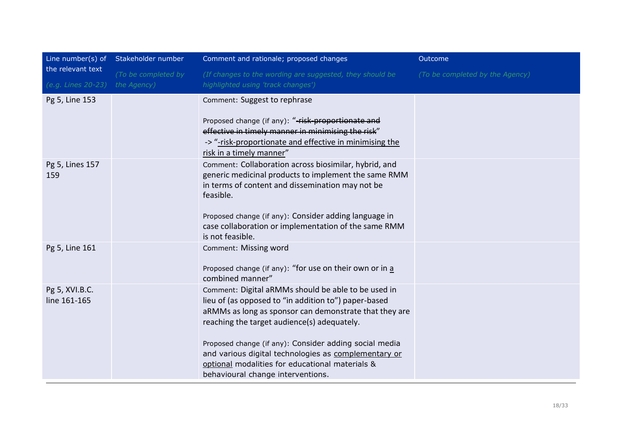|                                | Line number(s) of Stakeholder number | Comment and rationale; proposed changes                                                                                                                                                                              | Outcome                         |
|--------------------------------|--------------------------------------|----------------------------------------------------------------------------------------------------------------------------------------------------------------------------------------------------------------------|---------------------------------|
| the relevant text              | (To be completed by                  | (If changes to the wording are suggested, they should be                                                                                                                                                             | (To be completed by the Agency) |
| (e.g. Lines 20-23)             | the Agency)                          | highlighted using 'track changes')                                                                                                                                                                                   |                                 |
| Pg 5, Line 153                 |                                      | Comment: Suggest to rephrase                                                                                                                                                                                         |                                 |
|                                |                                      | Proposed change (if any): "-risk-proportionate and                                                                                                                                                                   |                                 |
|                                |                                      | effective in timely manner in minimising the risk"                                                                                                                                                                   |                                 |
|                                |                                      | -> "-risk-proportionate and effective in minimising the<br>risk in a timely manner"                                                                                                                                  |                                 |
| Pg 5, Lines 157<br>159         |                                      | Comment: Collaboration across biosimilar, hybrid, and<br>generic medicinal products to implement the same RMM<br>in terms of content and dissemination may not be<br>feasible.                                       |                                 |
|                                |                                      | Proposed change (if any): Consider adding language in<br>case collaboration or implementation of the same RMM<br>is not feasible.                                                                                    |                                 |
| Pg 5, Line 161                 |                                      | Comment: Missing word<br>Proposed change (if any): "for use on their own or in a<br>combined manner"                                                                                                                 |                                 |
| Pg 5, XVI.B.C.<br>line 161-165 |                                      | Comment: Digital aRMMs should be able to be used in<br>lieu of (as opposed to "in addition to") paper-based<br>aRMMs as long as sponsor can demonstrate that they are<br>reaching the target audience(s) adequately. |                                 |
|                                |                                      | Proposed change (if any): Consider adding social media<br>and various digital technologies as complementary or<br>optional modalities for educational materials &<br>behavioural change interventions.               |                                 |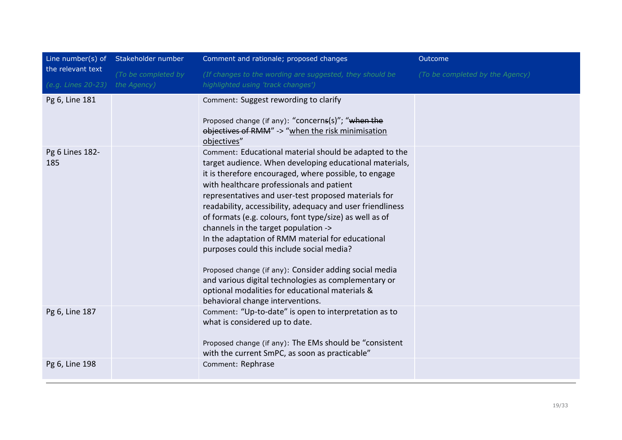|                        | Line number(s) of Stakeholder number | Comment and rationale; proposed changes                                                                                                                                                                                                                                                                                                                                                                                                                                                                                                                                                                                                                                                                                                                                    | Outcome                         |
|------------------------|--------------------------------------|----------------------------------------------------------------------------------------------------------------------------------------------------------------------------------------------------------------------------------------------------------------------------------------------------------------------------------------------------------------------------------------------------------------------------------------------------------------------------------------------------------------------------------------------------------------------------------------------------------------------------------------------------------------------------------------------------------------------------------------------------------------------------|---------------------------------|
| the relevant text      | (To be completed by                  | (If changes to the wording are suggested, they should be                                                                                                                                                                                                                                                                                                                                                                                                                                                                                                                                                                                                                                                                                                                   | (To be completed by the Agency) |
| (e.g. Lines 20-23)     | the Agency)                          | highlighted using 'track changes')                                                                                                                                                                                                                                                                                                                                                                                                                                                                                                                                                                                                                                                                                                                                         |                                 |
| Pg 6, Line 181         |                                      | Comment: Suggest rewording to clarify<br>Proposed change (if any): "concerns(s)"; "when the<br>objectives of RMM" -> "when the risk minimisation                                                                                                                                                                                                                                                                                                                                                                                                                                                                                                                                                                                                                           |                                 |
| Pg 6 Lines 182-<br>185 |                                      | objectives"<br>Comment: Educational material should be adapted to the<br>target audience. When developing educational materials,<br>it is therefore encouraged, where possible, to engage<br>with healthcare professionals and patient<br>representatives and user-test proposed materials for<br>readability, accessibility, adequacy and user friendliness<br>of formats (e.g. colours, font type/size) as well as of<br>channels in the target population -><br>In the adaptation of RMM material for educational<br>purposes could this include social media?<br>Proposed change (if any): Consider adding social media<br>and various digital technologies as complementary or<br>optional modalities for educational materials &<br>behavioral change interventions. |                                 |
| Pg 6, Line 187         |                                      | Comment: "Up-to-date" is open to interpretation as to<br>what is considered up to date.<br>Proposed change (if any): The EMs should be "consistent"<br>with the current SmPC, as soon as practicable"                                                                                                                                                                                                                                                                                                                                                                                                                                                                                                                                                                      |                                 |
| Pg 6, Line 198         |                                      | Comment: Rephrase                                                                                                                                                                                                                                                                                                                                                                                                                                                                                                                                                                                                                                                                                                                                                          |                                 |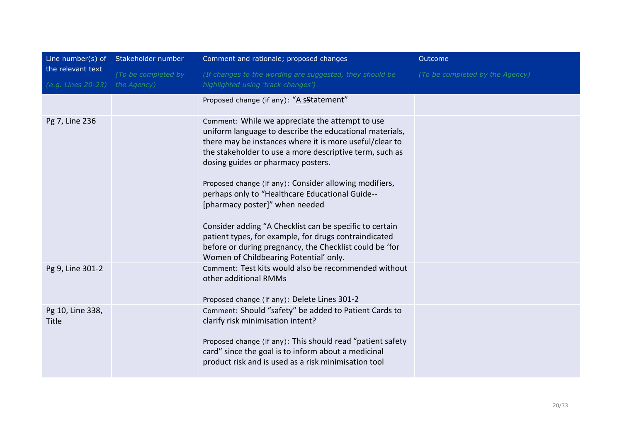|                                         | Line number(s) of Stakeholder number | Comment and rationale; proposed changes                                                                                                                                                                                                                                                                                                                                                                                                                                                                                                                                                                                                        | Outcome                         |
|-----------------------------------------|--------------------------------------|------------------------------------------------------------------------------------------------------------------------------------------------------------------------------------------------------------------------------------------------------------------------------------------------------------------------------------------------------------------------------------------------------------------------------------------------------------------------------------------------------------------------------------------------------------------------------------------------------------------------------------------------|---------------------------------|
| the relevant text<br>(e.g. Lines 20-23) | (To be completed by<br>the Agency)   | (If changes to the wording are suggested, they should be<br>highlighted using 'track changes')                                                                                                                                                                                                                                                                                                                                                                                                                                                                                                                                                 | (To be completed by the Agency) |
|                                         |                                      | Proposed change (if any): "A sStatement"                                                                                                                                                                                                                                                                                                                                                                                                                                                                                                                                                                                                       |                                 |
| Pg 7, Line 236                          |                                      | Comment: While we appreciate the attempt to use<br>uniform language to describe the educational materials,<br>there may be instances where it is more useful/clear to<br>the stakeholder to use a more descriptive term, such as<br>dosing guides or pharmacy posters.<br>Proposed change (if any): Consider allowing modifiers,<br>perhaps only to "Healthcare Educational Guide--<br>[pharmacy poster]" when needed<br>Consider adding "A Checklist can be specific to certain<br>patient types, for example, for drugs contraindicated<br>before or during pregnancy, the Checklist could be 'for<br>Women of Childbearing Potential' only. |                                 |
| Pg 9, Line 301-2                        |                                      | Comment: Test kits would also be recommended without<br>other additional RMMs<br>Proposed change (if any): Delete Lines 301-2                                                                                                                                                                                                                                                                                                                                                                                                                                                                                                                  |                                 |
| Pg 10, Line 338,<br><b>Title</b>        |                                      | Comment: Should "safety" be added to Patient Cards to<br>clarify risk minimisation intent?<br>Proposed change (if any): This should read "patient safety<br>card" since the goal is to inform about a medicinal<br>product risk and is used as a risk minimisation tool                                                                                                                                                                                                                                                                                                                                                                        |                                 |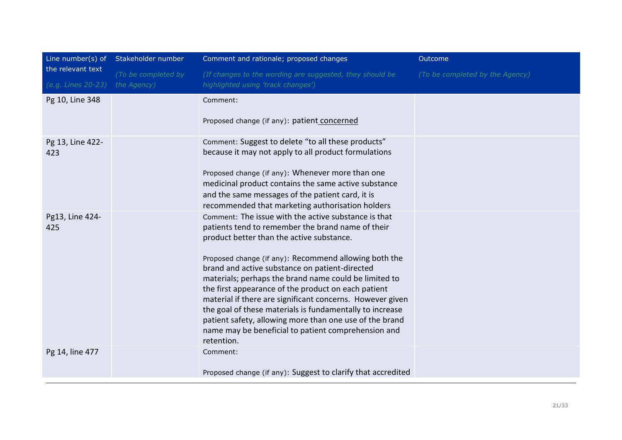|                                         | Line number(s) of Stakeholder number | Comment and rationale; proposed changes                                                                                                                                                                                                                                                                                                                                                                                                                                                                                                                                                                                                    | Outcome                         |
|-----------------------------------------|--------------------------------------|--------------------------------------------------------------------------------------------------------------------------------------------------------------------------------------------------------------------------------------------------------------------------------------------------------------------------------------------------------------------------------------------------------------------------------------------------------------------------------------------------------------------------------------------------------------------------------------------------------------------------------------------|---------------------------------|
| the relevant text<br>(e.g. Lines 20-23) | (To be completed by<br>the Agency)   | (If changes to the wording are suggested, they should be<br>highlighted using 'track changes')                                                                                                                                                                                                                                                                                                                                                                                                                                                                                                                                             | (To be completed by the Agency) |
| Pg 10, Line 348                         |                                      | Comment:<br>Proposed change (if any): patient concerned                                                                                                                                                                                                                                                                                                                                                                                                                                                                                                                                                                                    |                                 |
| Pg 13, Line 422-<br>423                 |                                      | Comment: Suggest to delete "to all these products"<br>because it may not apply to all product formulations<br>Proposed change (if any): Whenever more than one<br>medicinal product contains the same active substance<br>and the same messages of the patient card, it is<br>recommended that marketing authorisation holders                                                                                                                                                                                                                                                                                                             |                                 |
| Pg13, Line 424-<br>425                  |                                      | Comment: The issue with the active substance is that<br>patients tend to remember the brand name of their<br>product better than the active substance.<br>Proposed change (if any): Recommend allowing both the<br>brand and active substance on patient-directed<br>materials; perhaps the brand name could be limited to<br>the first appearance of the product on each patient<br>material if there are significant concerns. However given<br>the goal of these materials is fundamentally to increase<br>patient safety, allowing more than one use of the brand<br>name may be beneficial to patient comprehension and<br>retention. |                                 |
| Pg 14, line 477                         |                                      | Comment:<br>Proposed change (if any): Suggest to clarify that accredited                                                                                                                                                                                                                                                                                                                                                                                                                                                                                                                                                                   |                                 |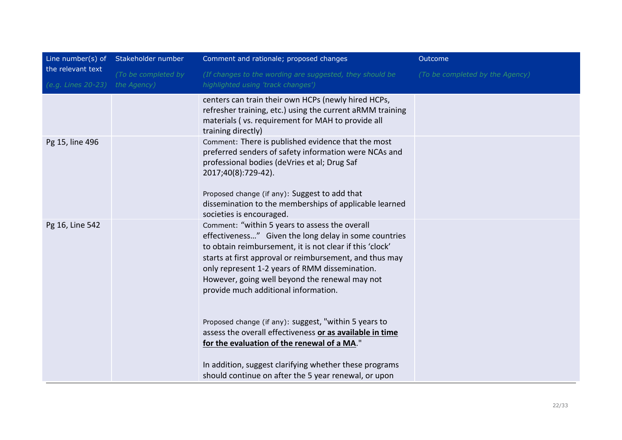|                                         | Line number(s) of Stakeholder number | Comment and rationale; proposed changes                                                                                                                                                                                                                                                                                                                                    | Outcome                         |
|-----------------------------------------|--------------------------------------|----------------------------------------------------------------------------------------------------------------------------------------------------------------------------------------------------------------------------------------------------------------------------------------------------------------------------------------------------------------------------|---------------------------------|
| the relevant text<br>(e.g. Lines 20-23) | (To be completed by<br>the Agency)   | (If changes to the wording are suggested, they should be<br>highlighted using 'track changes')                                                                                                                                                                                                                                                                             | (To be completed by the Agency) |
|                                         |                                      |                                                                                                                                                                                                                                                                                                                                                                            |                                 |
|                                         |                                      | centers can train their own HCPs (newly hired HCPs,<br>refresher training, etc.) using the current aRMM training<br>materials (vs. requirement for MAH to provide all<br>training directly)                                                                                                                                                                                |                                 |
| Pg 15, line 496                         |                                      | Comment: There is published evidence that the most<br>preferred senders of safety information were NCAs and<br>professional bodies (deVries et al; Drug Saf<br>2017;40(8):729-42).                                                                                                                                                                                         |                                 |
|                                         |                                      | Proposed change (if any): Suggest to add that<br>dissemination to the memberships of applicable learned<br>societies is encouraged.                                                                                                                                                                                                                                        |                                 |
| Pg 16, Line 542                         |                                      | Comment: "within 5 years to assess the overall<br>effectiveness" Given the long delay in some countries<br>to obtain reimbursement, it is not clear if this 'clock'<br>starts at first approval or reimbursement, and thus may<br>only represent 1-2 years of RMM dissemination.<br>However, going well beyond the renewal may not<br>provide much additional information. |                                 |
|                                         |                                      | Proposed change (if any): suggest, "within 5 years to<br>assess the overall effectiveness or as available in time<br>for the evaluation of the renewal of a MA."<br>In addition, suggest clarifying whether these programs                                                                                                                                                 |                                 |
|                                         |                                      | should continue on after the 5 year renewal, or upon                                                                                                                                                                                                                                                                                                                       |                                 |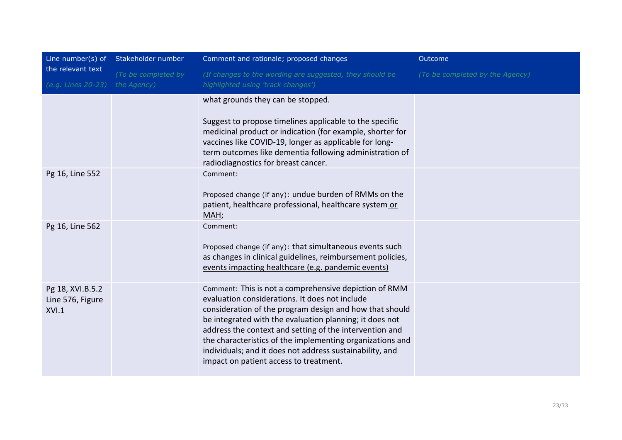|                                               | Line number(s) of Stakeholder number | Comment and rationale; proposed changes                                                                                                                                                                                                                                                                                                                                                                                                                     | Outcome                         |
|-----------------------------------------------|--------------------------------------|-------------------------------------------------------------------------------------------------------------------------------------------------------------------------------------------------------------------------------------------------------------------------------------------------------------------------------------------------------------------------------------------------------------------------------------------------------------|---------------------------------|
| the relevant text<br>(e.g. Lines 20-23)       | (To be completed by<br>the Agency)   | (If changes to the wording are suggested, they should be<br>highlighted using 'track changes')                                                                                                                                                                                                                                                                                                                                                              | (To be completed by the Agency) |
|                                               |                                      | what grounds they can be stopped.<br>Suggest to propose timelines applicable to the specific<br>medicinal product or indication (for example, shorter for<br>vaccines like COVID-19, longer as applicable for long-<br>term outcomes like dementia following administration of<br>radiodiagnostics for breast cancer.                                                                                                                                       |                                 |
| Pg 16, Line 552                               |                                      | Comment:<br>Proposed change (if any): undue burden of RMMs on the<br>patient, healthcare professional, healthcare system or<br>MAH;                                                                                                                                                                                                                                                                                                                         |                                 |
| Pg 16, Line 562                               |                                      | Comment:<br>Proposed change (if any): that simultaneous events such<br>as changes in clinical guidelines, reimbursement policies,<br>events impacting healthcare (e.g. pandemic events)                                                                                                                                                                                                                                                                     |                                 |
| Pg 18, XVI.B.5.2<br>Line 576, Figure<br>XVI.1 |                                      | Comment: This is not a comprehensive depiction of RMM<br>evaluation considerations. It does not include<br>consideration of the program design and how that should<br>be integrated with the evaluation planning; it does not<br>address the context and setting of the intervention and<br>the characteristics of the implementing organizations and<br>individuals; and it does not address sustainability, and<br>impact on patient access to treatment. |                                 |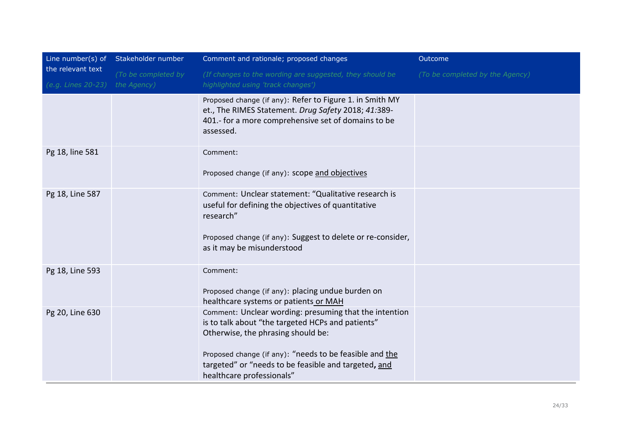|                                         | Line number(s) of Stakeholder number | Comment and rationale; proposed changes                                                                                                                                                                                                                                                           | Outcome                         |
|-----------------------------------------|--------------------------------------|---------------------------------------------------------------------------------------------------------------------------------------------------------------------------------------------------------------------------------------------------------------------------------------------------|---------------------------------|
| the relevant text<br>(e.g. Lines 20-23) | (To be completed by<br>the Agency)   | (If changes to the wording are suggested, they should be<br>highlighted using 'track changes')                                                                                                                                                                                                    | (To be completed by the Agency) |
|                                         |                                      | Proposed change (if any): Refer to Figure 1. in Smith MY<br>et., The RIMES Statement. Drug Safety 2018; 41:389-<br>401.- for a more comprehensive set of domains to be<br>assessed.                                                                                                               |                                 |
| Pg 18, line 581                         |                                      | Comment:<br>Proposed change (if any): scope and objectives                                                                                                                                                                                                                                        |                                 |
| Pg 18, Line 587                         |                                      | Comment: Unclear statement: "Qualitative research is<br>useful for defining the objectives of quantitative<br>research"<br>Proposed change (if any): Suggest to delete or re-consider,<br>as it may be misunderstood                                                                              |                                 |
| Pg 18, Line 593                         |                                      | Comment:<br>Proposed change (if any): placing undue burden on<br>healthcare systems or patients or MAH                                                                                                                                                                                            |                                 |
| Pg 20, Line 630                         |                                      | Comment: Unclear wording: presuming that the intention<br>is to talk about "the targeted HCPs and patients"<br>Otherwise, the phrasing should be:<br>Proposed change (if any): "needs to be feasible and the<br>targeted" or "needs to be feasible and targeted, and<br>healthcare professionals" |                                 |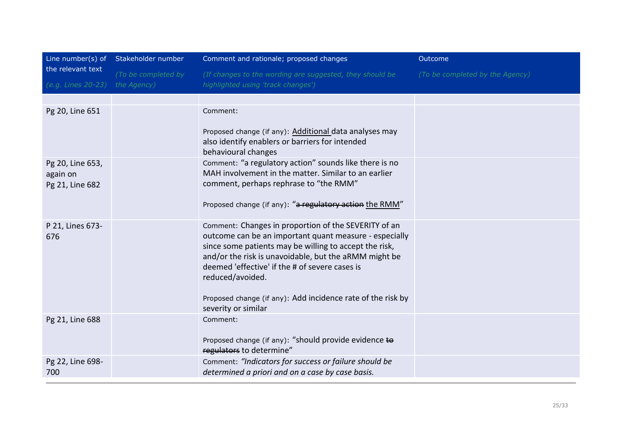|                                                 | Line number(s) of Stakeholder number | Comment and rationale; proposed changes                                                                                                                                                                                                                                                                 | Outcome                         |
|-------------------------------------------------|--------------------------------------|---------------------------------------------------------------------------------------------------------------------------------------------------------------------------------------------------------------------------------------------------------------------------------------------------------|---------------------------------|
| the relevant text                               | (To be completed by                  | (If changes to the wording are suggested, they should be                                                                                                                                                                                                                                                | (To be completed by the Agency) |
| (e.g. Lines 20-23)                              | the Agency)                          | highlighted using 'track changes')                                                                                                                                                                                                                                                                      |                                 |
|                                                 |                                      |                                                                                                                                                                                                                                                                                                         |                                 |
| Pg 20, Line 651                                 |                                      | Comment:                                                                                                                                                                                                                                                                                                |                                 |
|                                                 |                                      | Proposed change (if any): Additional data analyses may<br>also identify enablers or barriers for intended<br>behavioural changes                                                                                                                                                                        |                                 |
| Pg 20, Line 653,<br>again on<br>Pg 21, Line 682 |                                      | Comment: "a regulatory action" sounds like there is no<br>MAH involvement in the matter. Similar to an earlier<br>comment, perhaps rephrase to "the RMM"                                                                                                                                                |                                 |
|                                                 |                                      | Proposed change (if any): "a regulatory action the RMM"                                                                                                                                                                                                                                                 |                                 |
| P 21, Lines 673-<br>676                         |                                      | Comment: Changes in proportion of the SEVERITY of an<br>outcome can be an important quant measure - especially<br>since some patients may be willing to accept the risk,<br>and/or the risk is unavoidable, but the aRMM might be<br>deemed 'effective' if the # of severe cases is<br>reduced/avoided. |                                 |
|                                                 |                                      | Proposed change (if any): Add incidence rate of the risk by<br>severity or similar                                                                                                                                                                                                                      |                                 |
| Pg 21, Line 688                                 |                                      | Comment:<br>Proposed change (if any): "should provide evidence to<br>regulators to determine"                                                                                                                                                                                                           |                                 |
| Pg 22, Line 698-<br>700                         |                                      | Comment: "Indicators for success or failure should be<br>determined a priori and on a case by case basis.                                                                                                                                                                                               |                                 |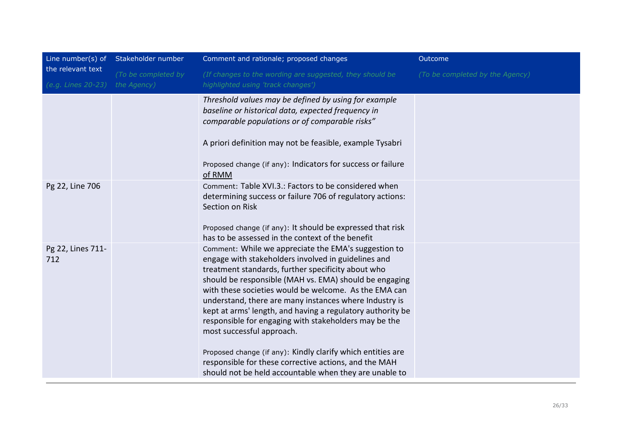| Line number(s) of                       | Stakeholder number                 | Comment and rationale; proposed changes                                                                                                                                                                                                                                                                                                                                                                                                                                                                                                                                                                                                                                              | Outcome                         |
|-----------------------------------------|------------------------------------|--------------------------------------------------------------------------------------------------------------------------------------------------------------------------------------------------------------------------------------------------------------------------------------------------------------------------------------------------------------------------------------------------------------------------------------------------------------------------------------------------------------------------------------------------------------------------------------------------------------------------------------------------------------------------------------|---------------------------------|
| the relevant text<br>(e.g. Lines 20-23) | (To be completed by<br>the Agency) | (If changes to the wording are suggested, they should be<br>highlighted using 'track changes')                                                                                                                                                                                                                                                                                                                                                                                                                                                                                                                                                                                       | (To be completed by the Agency) |
|                                         |                                    | Threshold values may be defined by using for example<br>baseline or historical data, expected frequency in<br>comparable populations or of comparable risks"<br>A priori definition may not be feasible, example Tysabri<br>Proposed change (if any): Indicators for success or failure<br>of RMM                                                                                                                                                                                                                                                                                                                                                                                    |                                 |
| Pg 22, Line 706                         |                                    | Comment: Table XVI.3.: Factors to be considered when<br>determining success or failure 706 of regulatory actions:<br>Section on Risk<br>Proposed change (if any): It should be expressed that risk<br>has to be assessed in the context of the benefit                                                                                                                                                                                                                                                                                                                                                                                                                               |                                 |
| Pg 22, Lines 711-<br>712                |                                    | Comment: While we appreciate the EMA's suggestion to<br>engage with stakeholders involved in guidelines and<br>treatment standards, further specificity about who<br>should be responsible (MAH vs. EMA) should be engaging<br>with these societies would be welcome. As the EMA can<br>understand, there are many instances where Industry is<br>kept at arms' length, and having a regulatory authority be<br>responsible for engaging with stakeholders may be the<br>most successful approach.<br>Proposed change (if any): Kindly clarify which entities are<br>responsible for these corrective actions, and the MAH<br>should not be held accountable when they are unable to |                                 |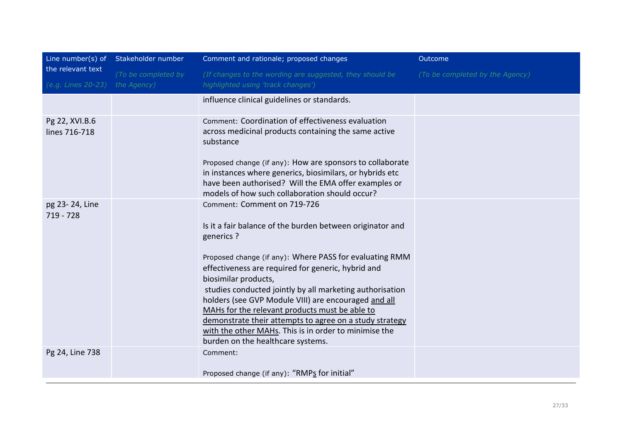| the relevant text               | Line number(s) of Stakeholder number | Comment and rationale; proposed changes                                                                                                                                                                                                                                                                                                                                                                                                                                                                                                                                        | Outcome                         |
|---------------------------------|--------------------------------------|--------------------------------------------------------------------------------------------------------------------------------------------------------------------------------------------------------------------------------------------------------------------------------------------------------------------------------------------------------------------------------------------------------------------------------------------------------------------------------------------------------------------------------------------------------------------------------|---------------------------------|
|                                 | (To be completed by                  | (If changes to the wording are suggested, they should be                                                                                                                                                                                                                                                                                                                                                                                                                                                                                                                       | (To be completed by the Agency) |
| (e.g. Lines 20-23)              | the Agency)                          | highlighted using 'track changes')                                                                                                                                                                                                                                                                                                                                                                                                                                                                                                                                             |                                 |
|                                 |                                      | influence clinical guidelines or standards.                                                                                                                                                                                                                                                                                                                                                                                                                                                                                                                                    |                                 |
| Pg 22, XVI.B.6<br>lines 716-718 |                                      | Comment: Coordination of effectiveness evaluation<br>across medicinal products containing the same active<br>substance<br>Proposed change (if any): How are sponsors to collaborate<br>in instances where generics, biosimilars, or hybrids etc<br>have been authorised? Will the EMA offer examples or<br>models of how such collaboration should occur?                                                                                                                                                                                                                      |                                 |
| pg 23-24, Line<br>719 - 728     |                                      | Comment: Comment on 719-726<br>Is it a fair balance of the burden between originator and<br>generics ?<br>Proposed change (if any): Where PASS for evaluating RMM<br>effectiveness are required for generic, hybrid and<br>biosimilar products,<br>studies conducted jointly by all marketing authorisation<br>holders (see GVP Module VIII) are encouraged and all<br>MAHs for the relevant products must be able to<br>demonstrate their attempts to agree on a study strategy<br>with the other MAHs. This is in order to minimise the<br>burden on the healthcare systems. |                                 |
| Pg 24, Line 738                 |                                      | Comment:<br>Proposed change (if any): "RMPs for initial"                                                                                                                                                                                                                                                                                                                                                                                                                                                                                                                       |                                 |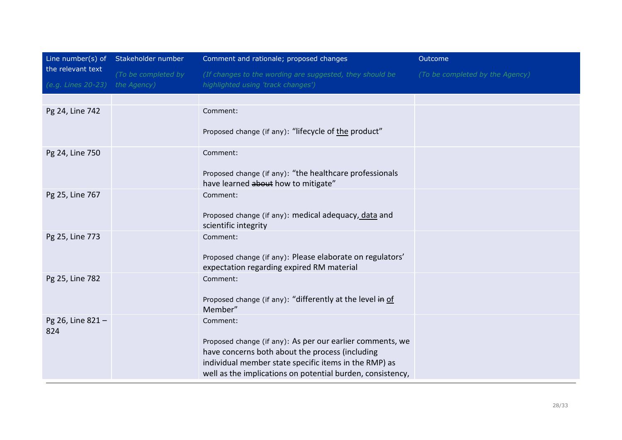|                                         | Line number(s) of Stakeholder number | Comment and rationale; proposed changes                                                                                                                                                                                             | Outcome                         |
|-----------------------------------------|--------------------------------------|-------------------------------------------------------------------------------------------------------------------------------------------------------------------------------------------------------------------------------------|---------------------------------|
| the relevant text<br>(e.g. Lines 20-23) | (To be completed by<br>the Agency)   | (If changes to the wording are suggested, they should be<br>highlighted using 'track changes')                                                                                                                                      | (To be completed by the Agency) |
|                                         |                                      |                                                                                                                                                                                                                                     |                                 |
| Pg 24, Line 742                         |                                      | Comment:                                                                                                                                                                                                                            |                                 |
|                                         |                                      | Proposed change (if any): "lifecycle of the product"                                                                                                                                                                                |                                 |
| Pg 24, Line 750                         |                                      | Comment:                                                                                                                                                                                                                            |                                 |
|                                         |                                      | Proposed change (if any): "the healthcare professionals<br>have learned about how to mitigate"                                                                                                                                      |                                 |
| Pg 25, Line 767                         |                                      | Comment:                                                                                                                                                                                                                            |                                 |
|                                         |                                      | Proposed change (if any): medical adequacy, data and<br>scientific integrity                                                                                                                                                        |                                 |
| Pg 25, Line 773                         |                                      | Comment:                                                                                                                                                                                                                            |                                 |
|                                         |                                      | Proposed change (if any): Please elaborate on regulators'<br>expectation regarding expired RM material                                                                                                                              |                                 |
| Pg 25, Line 782                         |                                      | Comment:                                                                                                                                                                                                                            |                                 |
|                                         |                                      | Proposed change (if any): "differently at the level in of<br>Member"                                                                                                                                                                |                                 |
| Pg 26, Line 821-                        |                                      | Comment:                                                                                                                                                                                                                            |                                 |
| 824                                     |                                      | Proposed change (if any): As per our earlier comments, we<br>have concerns both about the process (including<br>individual member state specific items in the RMP) as<br>well as the implications on potential burden, consistency, |                                 |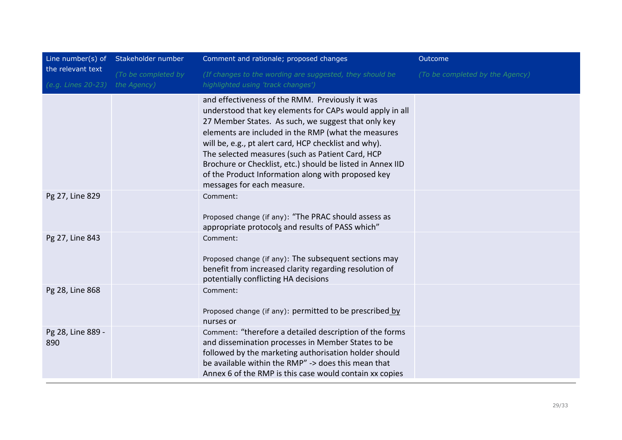| the relevant text        | Line number(s) of Stakeholder number | Comment and rationale; proposed changes                                                                                                                                                                                                                                                                                                                                                                                                                                                  | Outcome                         |
|--------------------------|--------------------------------------|------------------------------------------------------------------------------------------------------------------------------------------------------------------------------------------------------------------------------------------------------------------------------------------------------------------------------------------------------------------------------------------------------------------------------------------------------------------------------------------|---------------------------------|
|                          | (To be completed by                  | (If changes to the wording are suggested, they should be                                                                                                                                                                                                                                                                                                                                                                                                                                 | (To be completed by the Agency) |
| (e.g. Lines 20-23)       | the Agency)                          | highlighted using 'track changes')                                                                                                                                                                                                                                                                                                                                                                                                                                                       |                                 |
|                          |                                      | and effectiveness of the RMM. Previously it was<br>understood that key elements for CAPs would apply in all<br>27 Member States. As such, we suggest that only key<br>elements are included in the RMP (what the measures<br>will be, e.g., pt alert card, HCP checklist and why).<br>The selected measures (such as Patient Card, HCP<br>Brochure or Checklist, etc.) should be listed in Annex IID<br>of the Product Information along with proposed key<br>messages for each measure. |                                 |
| Pg 27, Line 829          |                                      | Comment:<br>Proposed change (if any): "The PRAC should assess as<br>appropriate protocols and results of PASS which"                                                                                                                                                                                                                                                                                                                                                                     |                                 |
| Pg 27, Line 843          |                                      | Comment:<br>Proposed change (if any): The subsequent sections may<br>benefit from increased clarity regarding resolution of<br>potentially conflicting HA decisions                                                                                                                                                                                                                                                                                                                      |                                 |
| Pg 28, Line 868          |                                      | Comment:<br>Proposed change (if any): permitted to be prescribed by<br>nurses or                                                                                                                                                                                                                                                                                                                                                                                                         |                                 |
| Pg 28, Line 889 -<br>890 |                                      | Comment: "therefore a detailed description of the forms<br>and dissemination processes in Member States to be<br>followed by the marketing authorisation holder should<br>be available within the RMP" -> does this mean that<br>Annex 6 of the RMP is this case would contain xx copies                                                                                                                                                                                                 |                                 |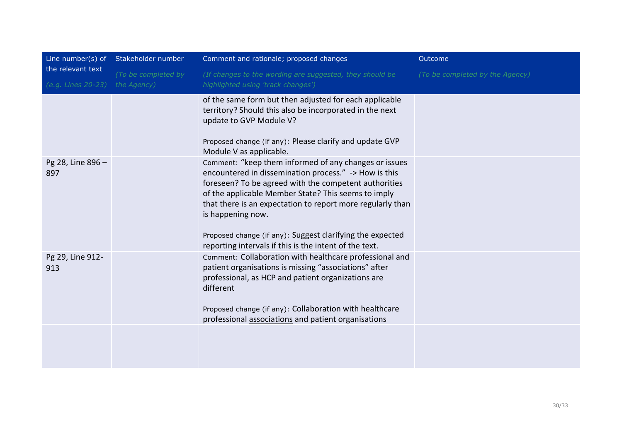|                                                     | Line number(s) of Stakeholder number | Comment and rationale; proposed changes                                                                                                                                                                                                                                                                                                                                                                                                  | Outcome                         |
|-----------------------------------------------------|--------------------------------------|------------------------------------------------------------------------------------------------------------------------------------------------------------------------------------------------------------------------------------------------------------------------------------------------------------------------------------------------------------------------------------------------------------------------------------------|---------------------------------|
| the relevant text<br>(e.g. Lines 20-23) the Agency) | (To be completed by                  | (If changes to the wording are suggested, they should be<br>highlighted using 'track changes')                                                                                                                                                                                                                                                                                                                                           | (To be completed by the Agency) |
|                                                     |                                      | of the same form but then adjusted for each applicable<br>territory? Should this also be incorporated in the next<br>update to GVP Module V?<br>Proposed change (if any): Please clarify and update GVP<br>Module V as applicable.                                                                                                                                                                                                       |                                 |
| Pg 28, Line 896 -<br>897                            |                                      | Comment: "keep them informed of any changes or issues<br>encountered in dissemination process." -> How is this<br>foreseen? To be agreed with the competent authorities<br>of the applicable Member State? This seems to imply<br>that there is an expectation to report more regularly than<br>is happening now.<br>Proposed change (if any): Suggest clarifying the expected<br>reporting intervals if this is the intent of the text. |                                 |
| Pg 29, Line 912-<br>913                             |                                      | Comment: Collaboration with healthcare professional and<br>patient organisations is missing "associations" after<br>professional, as HCP and patient organizations are<br>different<br>Proposed change (if any): Collaboration with healthcare<br>professional associations and patient organisations                                                                                                                                    |                                 |
|                                                     |                                      |                                                                                                                                                                                                                                                                                                                                                                                                                                          |                                 |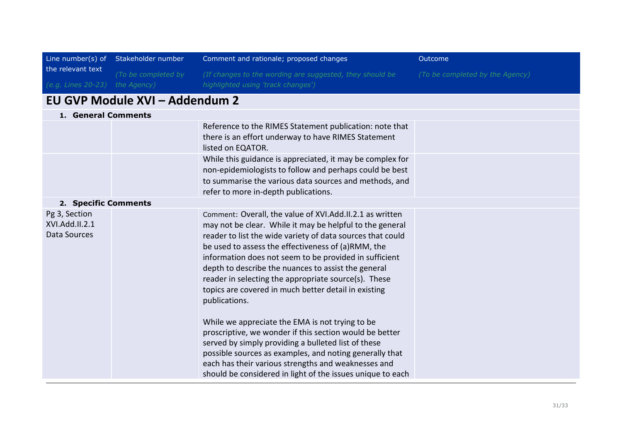| the relevant text                               | Line number(s) of Stakeholder number | Comment and rationale; proposed changes                                                                                                                                                                                                                                                                                                                                                                                                                                                                                                                                                                                                                                                                                                                                                                                                         | Outcome                         |
|-------------------------------------------------|--------------------------------------|-------------------------------------------------------------------------------------------------------------------------------------------------------------------------------------------------------------------------------------------------------------------------------------------------------------------------------------------------------------------------------------------------------------------------------------------------------------------------------------------------------------------------------------------------------------------------------------------------------------------------------------------------------------------------------------------------------------------------------------------------------------------------------------------------------------------------------------------------|---------------------------------|
|                                                 | (To be completed by                  | (If changes to the wording are suggested, they should be<br>highlighted using 'track changes')                                                                                                                                                                                                                                                                                                                                                                                                                                                                                                                                                                                                                                                                                                                                                  | (To be completed by the Agency) |
| (e.g. Lines 20-23) the Agency)                  |                                      |                                                                                                                                                                                                                                                                                                                                                                                                                                                                                                                                                                                                                                                                                                                                                                                                                                                 |                                 |
|                                                 | EU GVP Module XVI - Addendum 2       |                                                                                                                                                                                                                                                                                                                                                                                                                                                                                                                                                                                                                                                                                                                                                                                                                                                 |                                 |
| 1. General Comments                             |                                      |                                                                                                                                                                                                                                                                                                                                                                                                                                                                                                                                                                                                                                                                                                                                                                                                                                                 |                                 |
|                                                 |                                      | Reference to the RIMES Statement publication: note that<br>there is an effort underway to have RIMES Statement<br>listed on EQATOR.                                                                                                                                                                                                                                                                                                                                                                                                                                                                                                                                                                                                                                                                                                             |                                 |
|                                                 |                                      | While this guidance is appreciated, it may be complex for<br>non-epidemiologists to follow and perhaps could be best<br>to summarise the various data sources and methods, and<br>refer to more in-depth publications.                                                                                                                                                                                                                                                                                                                                                                                                                                                                                                                                                                                                                          |                                 |
| 2. Specific Comments                            |                                      |                                                                                                                                                                                                                                                                                                                                                                                                                                                                                                                                                                                                                                                                                                                                                                                                                                                 |                                 |
| Pg 3, Section<br>XVI.Add.II.2.1<br>Data Sources |                                      | Comment: Overall, the value of XVI.Add.II.2.1 as written<br>may not be clear. While it may be helpful to the general<br>reader to list the wide variety of data sources that could<br>be used to assess the effectiveness of (a)RMM, the<br>information does not seem to be provided in sufficient<br>depth to describe the nuances to assist the general<br>reader in selecting the appropriate source(s). These<br>topics are covered in much better detail in existing<br>publications.<br>While we appreciate the EMA is not trying to be<br>proscriptive, we wonder if this section would be better<br>served by simply providing a bulleted list of these<br>possible sources as examples, and noting generally that<br>each has their various strengths and weaknesses and<br>should be considered in light of the issues unique to each |                                 |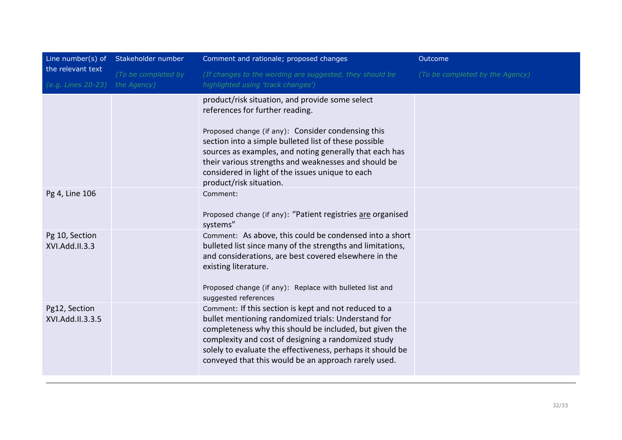|                                         | Line number(s) of Stakeholder number | Comment and rationale; proposed changes                                                                                                                                                                                                                                                                                                                                                             | Outcome                         |
|-----------------------------------------|--------------------------------------|-----------------------------------------------------------------------------------------------------------------------------------------------------------------------------------------------------------------------------------------------------------------------------------------------------------------------------------------------------------------------------------------------------|---------------------------------|
| the relevant text<br>(e.g. Lines 20-23) | (To be completed by<br>the Agency)   | (If changes to the wording are suggested, they should be<br>highlighted using 'track changes')                                                                                                                                                                                                                                                                                                      | (To be completed by the Agency) |
|                                         |                                      | product/risk situation, and provide some select<br>references for further reading.<br>Proposed change (if any): Consider condensing this<br>section into a simple bulleted list of these possible<br>sources as examples, and noting generally that each has<br>their various strengths and weaknesses and should be<br>considered in light of the issues unique to each<br>product/risk situation. |                                 |
| Pg 4, Line 106                          |                                      | Comment:<br>Proposed change (if any): "Patient registries are organised<br>systems"                                                                                                                                                                                                                                                                                                                 |                                 |
| Pg 10, Section<br>XVI.Add.II.3.3        |                                      | Comment: As above, this could be condensed into a short<br>bulleted list since many of the strengths and limitations,<br>and considerations, are best covered elsewhere in the<br>existing literature.<br>Proposed change (if any): Replace with bulleted list and<br>suggested references                                                                                                          |                                 |
| Pg12, Section<br>XVI.Add.II.3.3.5       |                                      | Comment: If this section is kept and not reduced to a<br>bullet mentioning randomized trials: Understand for<br>completeness why this should be included, but given the<br>complexity and cost of designing a randomized study<br>solely to evaluate the effectiveness, perhaps it should be<br>conveyed that this would be an approach rarely used.                                                |                                 |